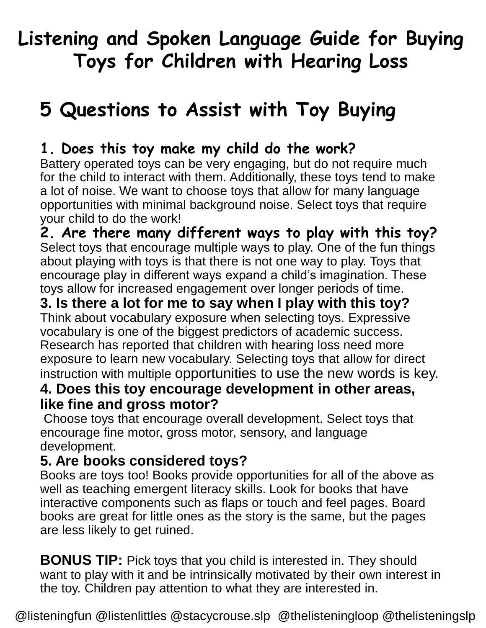# **Listening and Spoken Language Guide for Buying Toys for Children with Hearing Loss**

# **5 Questions to Assist with Toy Buying**

## **1. Does this toy make my child do the work?**

Battery operated toys can be very engaging, but do not require much for the child to interact with them. Additionally, these toys tend to make a lot of noise. We want to choose toys that allow for many language opportunities with minimal background noise. Select toys that require your child to do the work!

**2. Are there many different ways to play with this toy?**  Select toys that encourage multiple ways to play. One of the fun things about playing with toys is that there is not one way to play. Toys that encourage play in different ways expand a child's imagination. These toys allow for increased engagement over longer periods of time.

#### **3. Is there a lot for me to say when I play with this toy?**  Think about vocabulary exposure when selecting toys. Expressive

vocabulary is one of the biggest predictors of academic success. Research has reported that children with hearing loss need more exposure to learn new vocabulary. Selecting toys that allow for direct instruction with multiple opportunities to use the new words is key.

### **4. Does this toy encourage development in other areas, like fine and gross motor?**

Choose toys that encourage overall development. Select toys that encourage fine motor, gross motor, sensory, and language development.

## **5. Are books considered toys?**

Books are toys too! Books provide opportunities for all of the above as well as teaching emergent literacy skills. Look for books that have interactive components such as flaps or touch and feel pages. Board books are great for little ones as the story is the same, but the pages are less likely to get ruined.

**BONUS TIP:** Pick toys that you child is interested in. They should want to play with it and be intrinsically motivated by their own interest in the toy. Children pay attention to what they are interested in.

@listeningfun @listenlittles @stacycrouse.slp @thelisteningloop @thelisteningslp